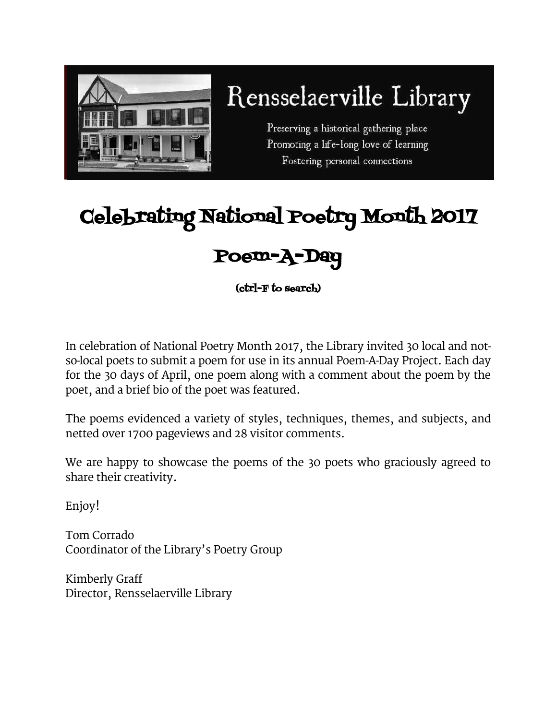

# Rensselaerville Library

Preserving a historical gathering place Promoting a life-long love of learning Fostering personal connections

## Celebrating National Poetry Month 2017

### Poem-A-Day

(ctrl-F to search)

In celebration of National Poetry Month 2017, the Library invited 30 local and notso-local poets to submit a poem for use in its annual Poem-A-Day Project. Each day for the 30 days of April, one poem along with a comment about the poem by the poet, and a brief bio of the poet was featured.

The poems evidenced a variety of styles, techniques, themes, and subjects, and netted over 1700 pageviews and 28 visitor comments.

We are happy to showcase the poems of the 30 poets who graciously agreed to share their creativity.

Enjoy!

Tom Corrado Coordinator of the Library's Poetry Group

Kimberly Graff Director, Rensselaerville Library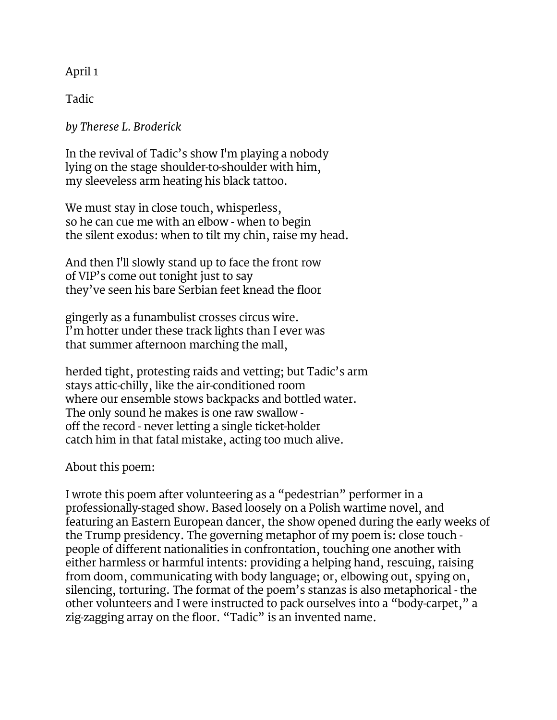April 1

Tadic

*by Therese L. Broderick*

In the revival of Tadic's show I'm playing a nobody lying on the stage shoulder-to-shoulder with him, my sleeveless arm heating his black tattoo.

We must stay in close touch, whisperless, so he can cue me with an elbow - when to begin the silent exodus: when to tilt my chin, raise my head.

And then I'll slowly stand up to face the front row of VIP's come out tonight just to say they've seen his bare Serbian feet knead the floor

gingerly as a funambulist crosses circus wire. I'm hotter under these track lights than I ever was that summer afternoon marching the mall,

herded tight, protesting raids and vetting; but Tadic's arm stays attic-chilly, like the air-conditioned room where our ensemble stows backpacks and bottled water. The only sound he makes is one raw swallow off the record - never letting a single ticket-holder catch him in that fatal mistake, acting too much alive.

About this poem:

I wrote this poem after volunteering as a "pedestrian" performer in a professionally-staged show. Based loosely on a Polish wartime novel, and featuring an Eastern European dancer, the show opened during the early weeks of the Trump presidency. The governing metaphor of my poem is: close touch people of different nationalities in confrontation, touching one another with either harmless or harmful intents: providing a helping hand, rescuing, raising from doom, communicating with body language; or, elbowing out, spying on, silencing, torturing. The format of the poem's stanzas is also metaphorical - the other volunteers and I were instructed to pack ourselves into a "body-carpet," a zig-zagging array on the floor. "Tadic" is an invented name.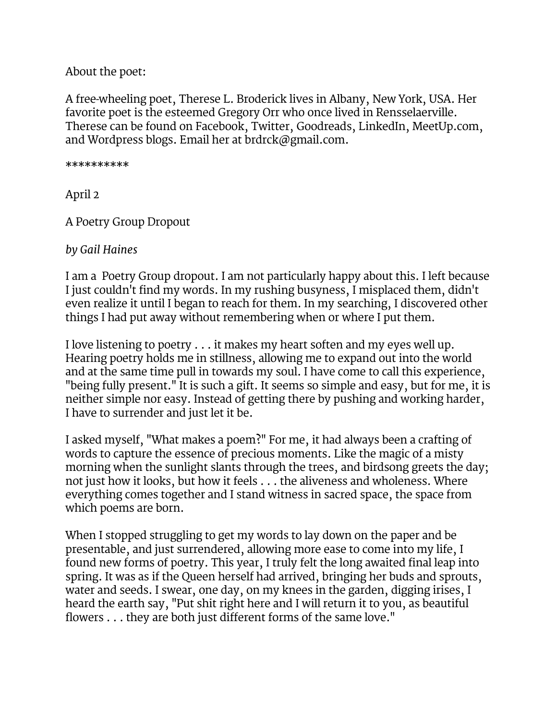About the poet:

A free-wheeling poet, Therese L. Broderick lives in Albany, New York, USA. Her favorite poet is the esteemed Gregory Orr who once lived in Rensselaerville. Therese can be found on Facebook, Twitter, Goodreads, LinkedIn, MeetUp.com, and Wordpress blogs. Email her at [brdrck@gmail.com.](mailto:brdrck@gmail.com)

\*\*\*\*\*\*\*\*\*\*

April 2

A Poetry Group Dropout

*by Gail Haines*

I am a Poetry Group dropout. I am not particularly happy about this. I left because I just couldn't find my words. In my rushing busyness, I misplaced them, didn't even realize it until I began to reach for them. In my searching, I discovered other things I had put away without remembering when or where I put them.

I love listening to poetry . . . it makes my heart soften and my eyes well up. Hearing poetry holds me in stillness, allowing me to expand out into the world and at the same time pull in towards my soul. I have come to call this experience, "being fully present." It is such a gift. It seems so simple and easy, but for me, it is neither simple nor easy. Instead of getting there by pushing and working harder, I have to surrender and just let it be.

I asked myself, "What makes a poem?" For me, it had always been a crafting of words to capture the essence of precious moments. Like the magic of a misty morning when the sunlight slants through the trees, and birdsong greets the day; not just how it looks, but how it feels . . . the aliveness and wholeness. Where everything comes together and I stand witness in sacred space, the space from which poems are born.

When I stopped struggling to get my words to lay down on the paper and be presentable, and just surrendered, allowing more ease to come into my life, I found new forms of poetry. This year, I truly felt the long awaited final leap into spring. It was as if the Queen herself had arrived, bringing her buds and sprouts, water and seeds. I swear, one day, on my knees in the garden, digging irises, I heard the earth say, "Put shit right here and I will return it to you, as beautiful flowers . . . they are both just different forms of the same love."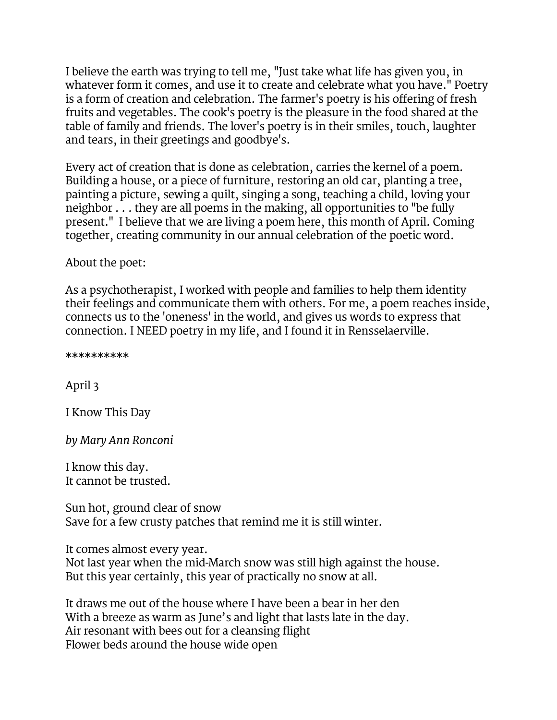I believe the earth was trying to tell me, "Just take what life has given you, in whatever form it comes, and use it to create and celebrate what you have." Poetry is a form of creation and celebration. The farmer's poetry is his offering of fresh fruits and vegetables. The cook's poetry is the pleasure in the food shared at the table of family and friends. The lover's poetry is in their smiles, touch, laughter and tears, in their greetings and goodbye's.

Every act of creation that is done as celebration, carries the kernel of a poem. Building a house, or a piece of furniture, restoring an old car, planting a tree, painting a picture, sewing a quilt, singing a song, teaching a child, loving your neighbor . . . they are all poems in the making, all opportunities to "be fully present." I believe that we are living a poem here, this month of April. Coming together, creating community in our annual celebration of the poetic word.

About the poet:

As a psychotherapist, I worked with people and families to help them identity their feelings and communicate them with others. For me, a poem reaches inside, connects us to the 'oneness' in the world, and gives us words to express that connection. I NEED poetry in my life, and I found it in Rensselaerville.

\*\*\*\*\*\*\*\*\*\*

April 3

I Know This Day

*by Mary Ann Ronconi*

I know this day. It cannot be trusted.

Sun hot, ground clear of snow Save for a few crusty patches that remind me it is still winter.

It comes almost every year. Not last year when the mid-March snow was still high against the house. But this year certainly, this year of practically no snow at all.

It draws me out of the house where I have been a bear in her den With a breeze as warm as June's and light that lasts late in the day. Air resonant with bees out for a cleansing flight Flower beds around the house wide open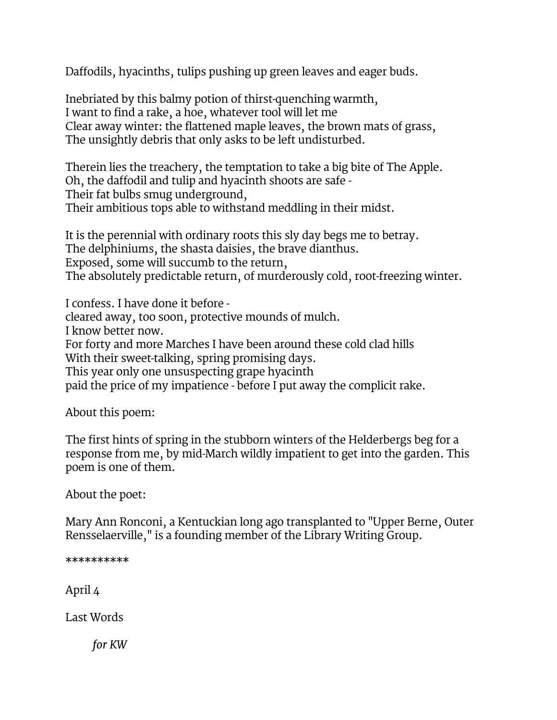Daffodils, hyacinths, tulips pushing up green leaves and eager buds.

Inebriated by this balmy potion of thirst-quenching warmth, I want to find a rake, a hoe, whatever tool will let me Clear away winter: the flattened maple leaves, the brown mats of grass, The unsightly debris that only asks to be left undisturbed.

Therein lies the treachery, the temptation to take a big bite of The Apple. Oh, the daffodil and tulip and hyacinth shoots are safe - Their fat bulbs smug underground, Their ambitious tops able to withstand meddling in their midst.

It is the perennial with ordinary roots this sly day begs me to betray. The delphiniums, the shasta daisies, the brave dianthus. Exposed, some will succumb to the return, The absolutely predictable return, of murderously cold, root-freezing winter.

I confess. I have done it before cleared away, too soon, protective mounds of mulch. I know better now. For forty and more Marches I have been around these cold clad hills With their sweet-talking, spring promising days. This year only one unsuspecting grape hyacinth paid the price of my impatience - before I put away the complicit rake.

About this poem:

The first hints of spring in the stubborn winters of the Helderbergs beg for a response from me, by mid-March wildly impatient to get into the garden. This poem is one of them.

About the poet:

Mary Ann Ronconi, a Kentuckian long ago transplanted to "Upper Berne, Outer Rensselaerville," is a founding member of the Library Writing Group.

\*\*\*\*\*\*\*\*\*\* April 4

Last Words

*for KW*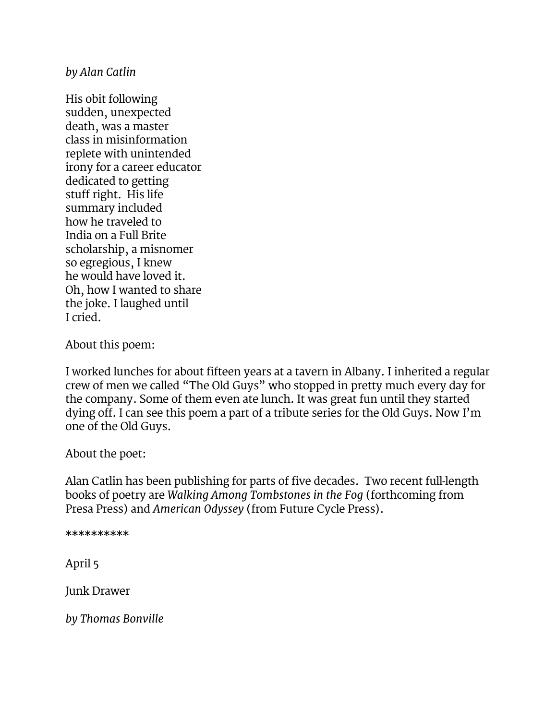*by Alan Catlin*

His obit following sudden, unexpected death, was a master class in misinformation replete with unintended irony for a career educator dedicated to getting stuff right. His life summary included how he traveled to India on a Full Brite scholarship, a misnomer so egregious, I knew he would have loved it. Oh, how I wanted to share the joke. I laughed until I cried.

About this poem:

I worked lunches for about fifteen years at a tavern in Albany. I inherited a regular crew of men we called "The Old Guys" who stopped in pretty much every day for the company. Some of them even ate lunch. It was great fun until they started dying off. I can see this poem a part of a tribute series for the Old Guys. Now I'm one of the Old Guys.

About the poet:

Alan Catlin has been publishing for parts of five decades. Two recent full-length books of poetry are *Walking Among Tombstones in the Fog* (forthcoming from Presa Press) and *American Odyssey* (from Future Cycle Press).

\*\*\*\*\*\*\*\*\*\*

April 5

Junk Drawer

*by Thomas Bonville*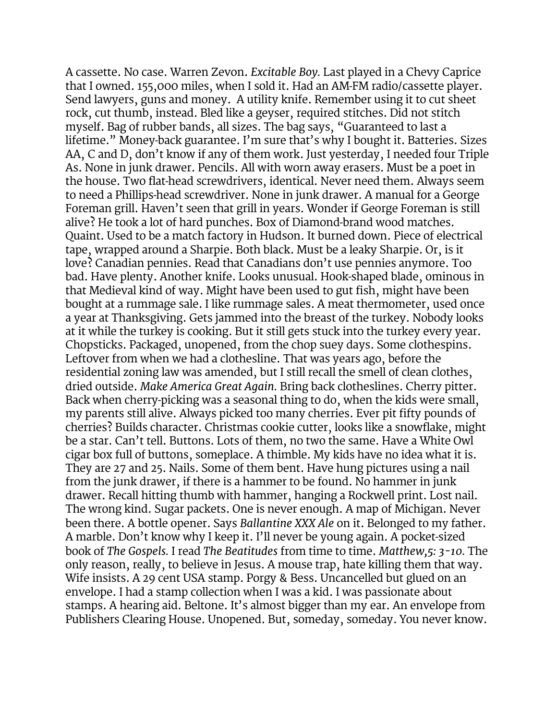A cassette. No case. Warren Zevon. *Excitable Boy.* Last played in a Chevy Caprice that I owned. 155,000 miles, when I sold it. Had an AM-FM radio/cassette player. Send lawyers, guns and money. A utility knife. Remember using it to cut sheet rock, cut thumb, instead. Bled like a geyser, required stitches. Did not stitch myself. Bag of rubber bands, all sizes. The bag says, "Guaranteed to last a lifetime." Money-back guarantee. I'm sure that's why I bought it. Batteries. Sizes AA, C and D, don't know if any of them work. Just yesterday, I needed four Triple As. None in junk drawer. Pencils. All with worn away erasers. Must be a poet in the house. Two flat-head screwdrivers, identical. Never need them. Always seem to need a Phillips-head screwdriver. None in junk drawer. A manual for a George Foreman grill. Haven't seen that grill in years. Wonder if George Foreman is still alive? He took a lot of hard punches. Box of Diamond-brand wood matches. Quaint. Used to be a match factory in Hudson. It burned down. Piece of electrical tape, wrapped around a Sharpie. Both black. Must be a leaky Sharpie. Or, is it love? Canadian pennies. Read that Canadians don't use pennies anymore. Too bad. Have plenty. Another knife. Looks unusual. Hook-shaped blade, ominous in that Medieval kind of way. Might have been used to gut fish, might have been bought at a rummage sale. I like rummage sales. A meat thermometer, used once a year at Thanksgiving. Gets jammed into the breast of the turkey. Nobody looks at it while the turkey is cooking. But it still gets stuck into the turkey every year. Chopsticks. Packaged, unopened, from the chop suey days. Some clothespins. Leftover from when we had a clothesline. That was years ago, before the residential zoning law was amended, but I still recall the smell of clean clothes, dried outside. *Make America Great Again.* Bring back clotheslines. Cherry pitter. Back when cherry-picking was a seasonal thing to do, when the kids were small, my parents still alive. Always picked too many cherries. Ever pit fifty pounds of cherries? Builds character. Christmas cookie cutter, looks like a snowflake, might be a star. Can't tell. Buttons. Lots of them, no two the same. Have a White Owl cigar box full of buttons, someplace. A thimble. My kids have no idea what it is. They are 27 and 25. Nails. Some of them bent. Have hung pictures using a nail from the junk drawer, if there is a hammer to be found. No hammer in junk drawer. Recall hitting thumb with hammer, hanging a Rockwell print. Lost nail. The wrong kind. Sugar packets. One is never enough. A map of Michigan. Never been there. A bottle opener. Says *Ballantine XXX Ale* on it. Belonged to my father. A marble. Don't know why I keep it. I'll never be young again. A pocket-sized book of *The Gospels.* I read *The Beatitudes* from time to time. *Matthew,5: 3-10.* The only reason, really, to believe in Jesus. A mouse trap, hate killing them that way. Wife insists. A 29 cent USA stamp. Porgy & Bess. Uncancelled but glued on an envelope. I had a stamp collection when I was a kid. I was passionate about stamps. A hearing aid. Beltone. It's almost bigger than my ear. An envelope from Publishers Clearing House. Unopened. But, someday, someday. You never know.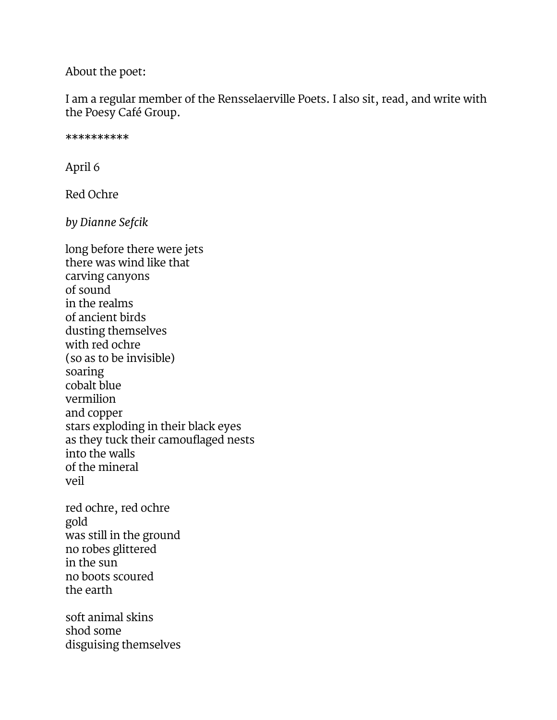About the poet:

I am a regular member of the Rensselaerville Poets. I also sit, read, and write with the Poesy Café Group.

\*\*\*\*\*\*\*\*\*\*

April 6

Red Ochre

*by Dianne Sefcik*

long before there were jets there was wind like that carving canyons of sound in the realms of ancient birds dusting themselves with red ochre (so as to be invisible) soaring cobalt blue vermilion and copper stars exploding in their black eyes as they tuck their camouflaged nests into the walls of the mineral veil red ochre, red ochre gold was still in the ground no robes glittered in the sun no boots scoured the earth soft animal skins shod some disguising themselves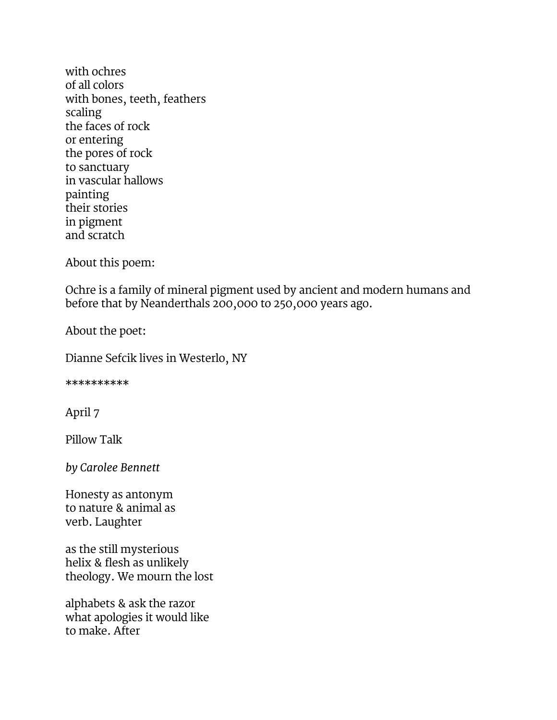with ochres of all colors with bones, teeth, feathers scaling the faces of rock or entering the pores of rock to sanctuary in vascular hallows painting their stories in pigment and scratch

About this poem:

Ochre is a family of mineral pigment used by ancient and modern humans and before that by Neanderthals 200,000 to 250,000 years ago.

About the poet:

Dianne Sefcik lives in Westerlo, NY

\*\*\*\*\*\*\*\*\*\*

April 7

Pillow Talk

*by Carolee Bennett*

Honesty as antonym to nature & animal as verb. Laughter

as the still mysterious helix & flesh as unlikely theology. We mourn the lost

alphabets & ask the razor what apologies it would like to make. After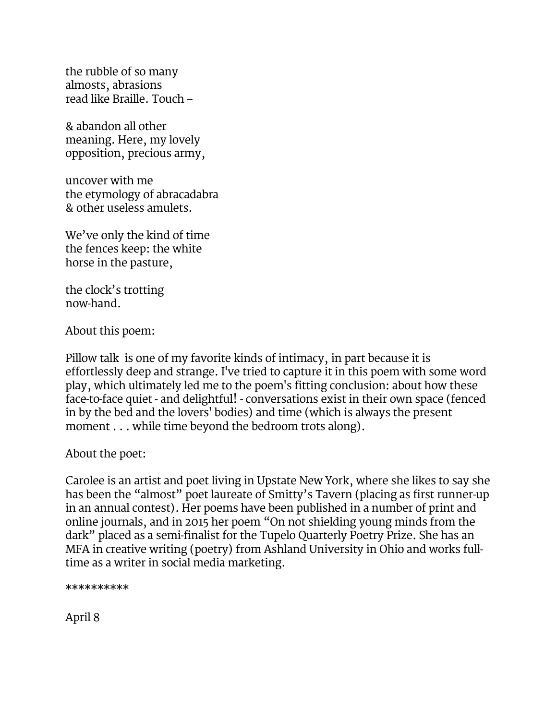the rubble of so many almosts, abrasions read like Braille. Touch –

& abandon all other meaning. Here, my lovely opposition, precious army,

uncover with me the etymology of abracadabra & other useless amulets.

We've only the kind of time the fences keep: the white horse in the pasture,

the clock's trotting now-hand.

About this poem:

Pillow talk is one of my favorite kinds of intimacy, in part because it is effortlessly deep and strange. I've tried to capture it in this poem with some word play, which ultimately led me to the poem's fitting conclusion: about how these face-to-face quiet - and delightful! - conversations exist in their own space (fenced in by the bed and the lovers' bodies) and time (which is always the present moment . . . while time beyond the bedroom trots along).

About the poet:

Carolee is an artist and poet living in Upstate New York, where she likes to say she has been the "almost" poet laureate of Smitty's Tavern (placing as first runner-up in an annual contest). Her poems have been published in a number of print and online journals, and in 2015 her poem "On not shielding young minds from the dark" placed as a semi-finalist for the Tupelo Quarterly Poetry Prize. She has an MFA in creative writing (poetry) from Ashland University in Ohio and works fulltime as a writer in social media marketing.

\*\*\*\*\*\*\*\*\*\*

April 8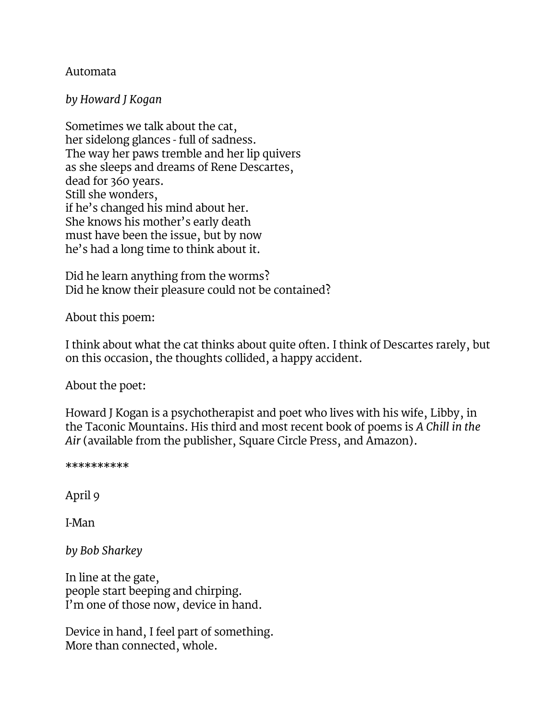#### Automata

#### *by Howard J Kogan*

Sometimes we talk about the cat, her sidelong glances - full of sadness. The way her paws tremble and her lip quivers as she sleeps and dreams of Rene Descartes, dead for 360 years. Still she wonders, if he's changed his mind about her. She knows his mother's early death must have been the issue, but by now he's had a long time to think about it.

Did he learn anything from the worms? Did he know their pleasure could not be contained?

About this poem:

I think about what the cat thinks about quite often. I think of Descartes rarely, but on this occasion, the thoughts collided, a happy accident.

About the poet:

Howard J Kogan is a psychotherapist and poet who lives with his wife, Libby, in the Taconic Mountains. His third and most recent book of poems is *A Chill in the Air* (available from the publisher, Square Circle Press, and Amazon).

\*\*\*\*\*\*\*\*\*\*

April 9

I-Man

*by Bob Sharkey*

In line at the gate, people start beeping and chirping. I'm one of those now, device in hand.

Device in hand, I feel part of something. More than connected, whole.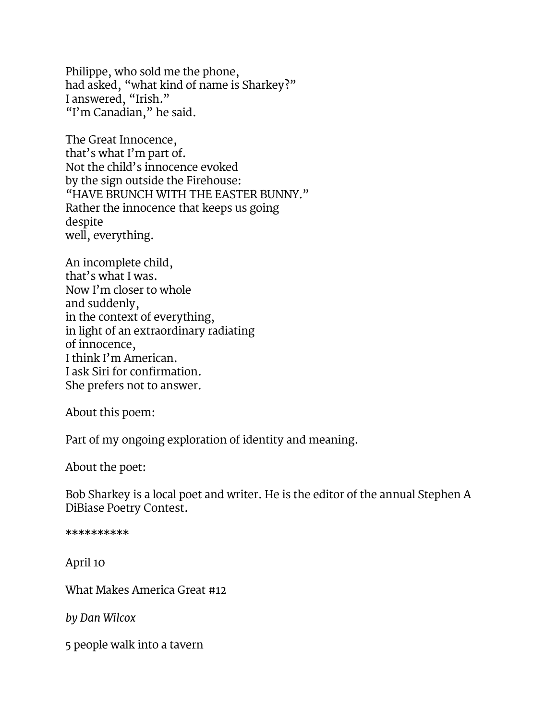Philippe, who sold me the phone, had asked, "what kind of name is Sharkey?" I answered, "Irish." "I'm Canadian," he said.

The Great Innocence, that's what I'm part of. Not the child's innocence evoked by the sign outside the Firehouse: "HAVE BRUNCH WITH THE EASTER BUNNY." Rather the innocence that keeps us going despite well, everything.

An incomplete child, that's what I was. Now I'm closer to whole and suddenly, in the context of everything, in light of an extraordinary radiating of innocence, I think I'm American. I ask Siri for confirmation. She prefers not to answer.

About this poem:

Part of my ongoing exploration of identity and meaning.

About the poet:

Bob Sharkey is a local poet and writer. He is the editor of the annual Stephen A DiBiase Poetry Contest.

\*\*\*\*\*\*\*\*\*\*

April 10

What Makes America Great #12

*by Dan Wilcox*

5 people walk into a tavern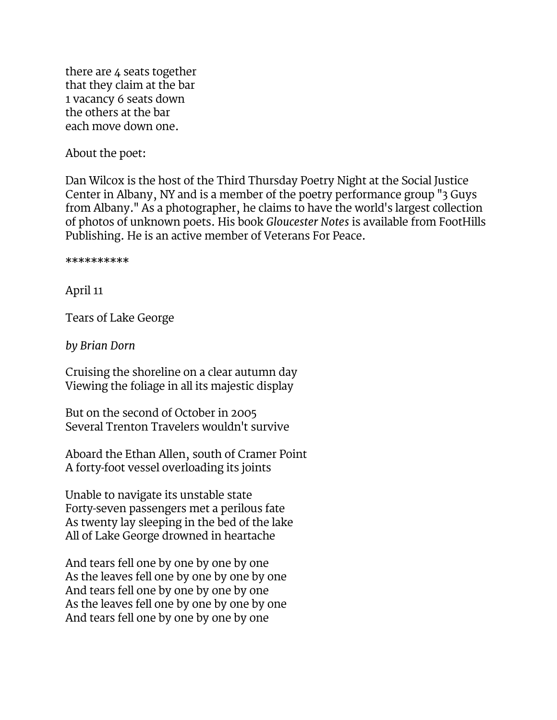there are 4 seats together that they claim at the bar 1 vacancy 6 seats down the others at the bar each move down one.

About the poet:

Dan Wilcox is the host of the Third Thursday Poetry Night at the Social Justice Center in Albany, NY and is a member of the poetry performance group "3 Guys from Albany." As a photographer, he claims to have the world's largest collection of photos of unknown poets. His book *Gloucester Notes* is available from FootHills Publishing. He is an active member of Veterans For Peace.

\*\*\*\*\*\*\*\*\*\*

April 11

Tears of Lake George

*by Brian Dorn*

Cruising the shoreline on a clear autumn day Viewing the foliage in all its majestic display

But on the second of October in 2005 Several Trenton Travelers wouldn't survive

Aboard the Ethan Allen, south of Cramer Point A forty-foot vessel overloading its joints

Unable to navigate its unstable state Forty-seven passengers met a perilous fate As twenty lay sleeping in the bed of the lake All of Lake George drowned in heartache

And tears fell one by one by one by one As the leaves fell one by one by one by one And tears fell one by one by one by one As the leaves fell one by one by one by one And tears fell one by one by one by one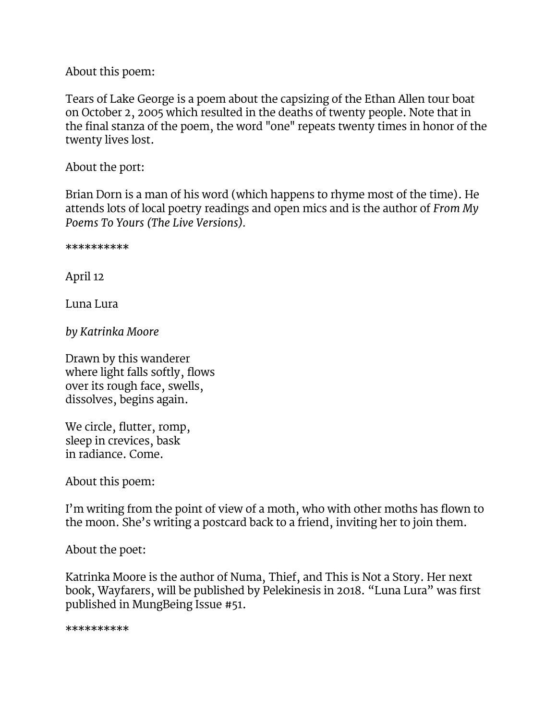About this poem:

Tears of Lake George is a poem about the capsizing of the Ethan Allen tour boat on October 2, 2005 which resulted in the deaths of twenty people. Note that in the final stanza of the poem, the word "one" repeats twenty times in honor of the twenty lives lost.

About the port:

Brian Dorn is a man of his word (which happens to rhyme most of the time). He attends lots of local poetry readings and open mics and is the author of *From My Poems To Yours (The Live Versions).*

\*\*\*\*\*\*\*\*\*\*

April 12

Luna Lura

*by Katrinka Moore*

Drawn by this wanderer where light falls softly, flows over its rough face, swells, dissolves, begins again.

We circle, flutter, romp, sleep in crevices, bask in radiance. Come.

About this poem:

I'm writing from the point of view of a moth, who with other moths has flown to the moon. She's writing a postcard back to a friend, inviting her to join them.

About the poet:

Katrinka Moore is the author of Numa, Thief, and This is Not a Story. Her next book, Wayfarers, will be published by Pelekinesis in 2018. "Luna Lura" was first published in [MungBeing Issue #51.](http://www.mungbeing.com/issue_51.html?page=38)

\*\*\*\*\*\*\*\*\*\*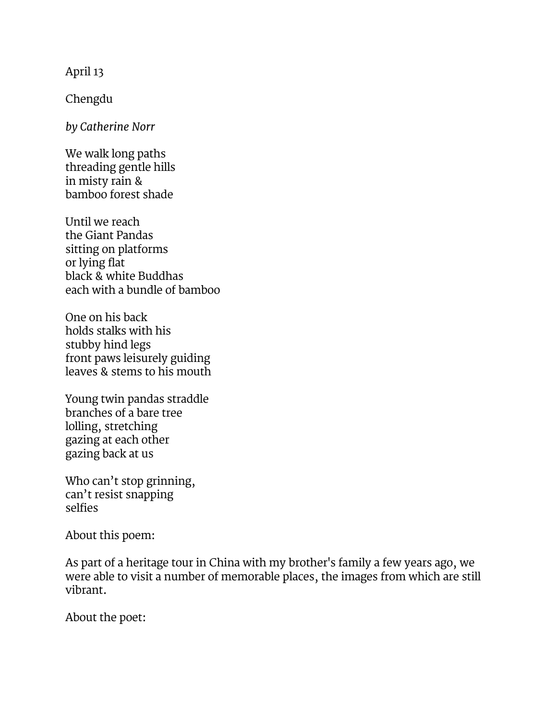April 13

Chengdu

*by Catherine Norr*

We walk long paths threading gentle hills in misty rain & bamboo forest shade

Until we reach the Giant Pandas sitting on platforms or lying flat black & white Buddhas each with a bundle of bamboo

One on his back holds stalks with his stubby hind legs front paws leisurely guiding leaves & stems to his mouth

Young twin pandas straddle branches of a bare tree lolling, stretching gazing at each other gazing back at us

Who can't stop grinning, can't resist snapping selfies

About this poem:

As part of a heritage tour in China with my brother's family a few years ago, we were able to visit a number of memorable places, the images from which are still vibrant.

About the poet: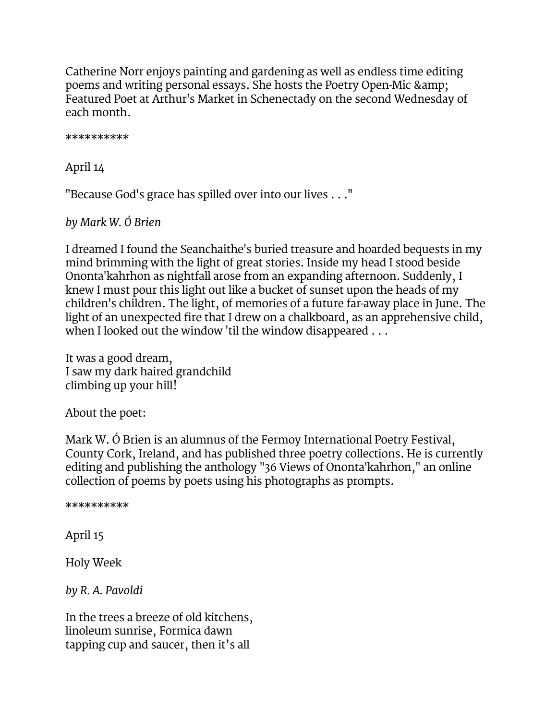Catherine Norr enjoys painting and gardening as well as endless time editing poems and writing personal essays. She hosts the Poetry Open-Mic & Featured Poet at Arthur's Market in Schenectady on the second Wednesday of each month.

\*\*\*\*\*\*\*\*\*\*

April 14

"Because God's grace has spilled over into our lives . . ."

*by Mark W. Ó Brien*

I dreamed I found the Seanchaithe's buried treasure and hoarded bequests in my mind brimming with the light of great stories. Inside my head I stood beside Ononta'kahrhon as nightfall arose from an expanding afternoon. Suddenly, I knew I must pour this light out like a bucket of sunset upon the heads of my children's children. The light, of memories of a future far-away place in June. The light of an unexpected fire that I drew on a chalkboard, as an apprehensive child, when I looked out the window 'til the window disappeared . . .

It was a good dream, I saw my dark haired grandchild climbing up your hill!

About the poet:

Mark W. Ó Brien is an alumnus of the Fermoy International Poetry Festival, County Cork, Ireland, and has published three poetry collections. He is currently editing and publishing the anthology "36 Views of Ononta'kahrhon," an online collection of poems by poets using his photographs as prompts.

\*\*\*\*\*\*\*\*\*\*

April 15

Holy Week

*by R. A. Pavoldi*

In the trees a breeze of old kitchens, linoleum sunrise, Formica dawn tapping cup and saucer, then it's all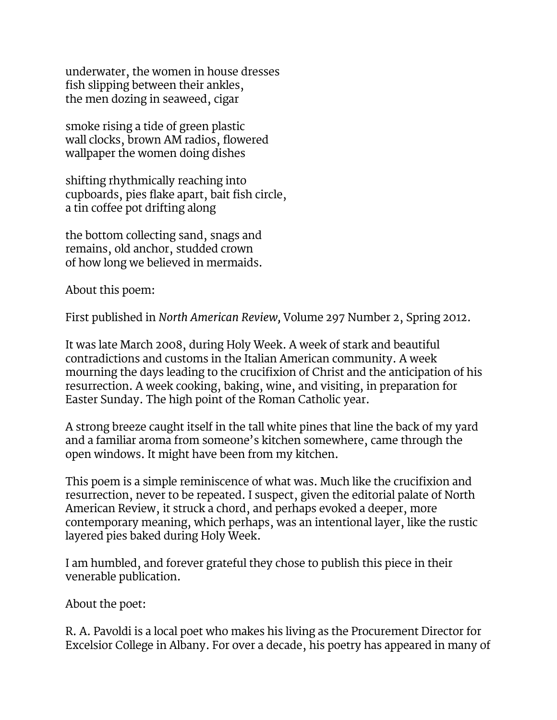underwater, the women in house dresses fish slipping between their ankles, the men dozing in seaweed, cigar

smoke rising a tide of green plastic wall clocks, brown AM radios, flowered wallpaper the women doing dishes

shifting rhythmically reaching into cupboards, pies flake apart, bait fish circle, a tin coffee pot drifting along

the bottom collecting sand, snags and remains, old anchor, studded crown of how long we believed in mermaids.

About this poem:

First published in *North American Review,* Volume 297 Number 2, Spring 2012.

It was late March 2008, during Holy Week. A week of stark and beautiful contradictions and customs in the Italian American community. A week mourning the days leading to the crucifixion of Christ and the anticipation of his resurrection. A week cooking, baking, wine, and visiting, in preparation for Easter Sunday. The high point of the Roman Catholic year.

A strong breeze caught itself in the tall white pines that line the back of my yard and a familiar aroma from someone's kitchen somewhere, came through the open windows. It might have been from my kitchen.

This poem is a simple reminiscence of what was. Much like the crucifixion and resurrection, never to be repeated. I suspect, given the editorial palate of North American Review, it struck a chord, and perhaps evoked a deeper, more contemporary meaning, which perhaps, was an intentional layer, like the rustic layered pies baked during Holy Week.

I am humbled, and forever grateful they chose to publish this piece in their venerable publication.

About the poet:

R. A. Pavoldi is a local poet who makes his living as the Procurement Director for Excelsior College in Albany. For over a decade, his poetry has appeared in many of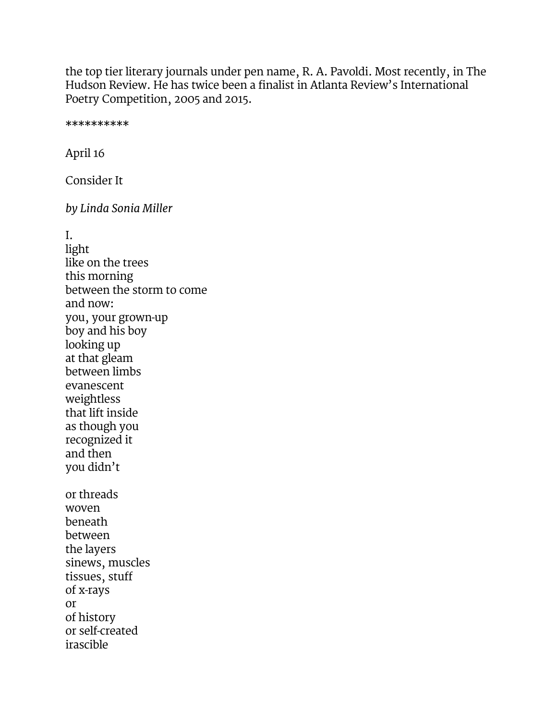the top tier literary journals under pen name, R. A. Pavoldi. Most recently, in The Hudson Review. He has twice been a finalist in Atlanta Review's International Poetry Competition, 2005 and 2015.

\*\*\*\*\*\*\*\*\*\*

April 16

Consider It

*by Linda Sonia Miller*

I.

light like on the trees this morning between the storm to come and now: you, your grown-up boy and his boy looking up at that gleam between limbs evanescent weightless that lift inside as though you recognized it and then you didn't or threads woven beneath between the layers sinews, muscles tissues, stuff of x-rays or of history or self-created irascible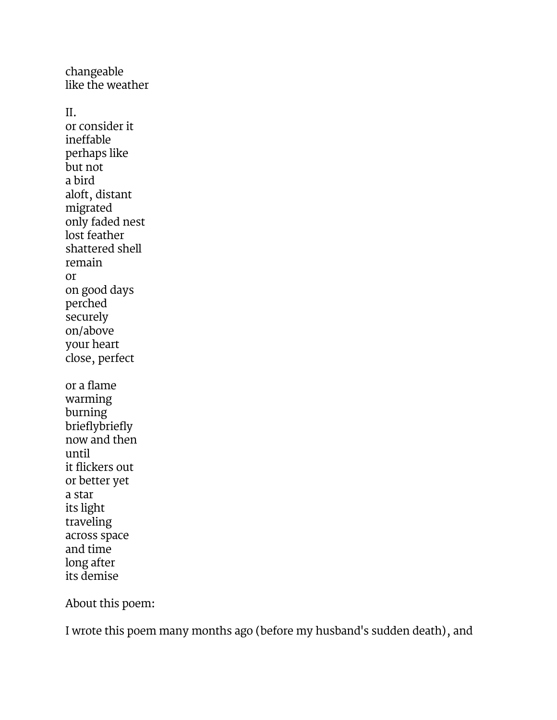changeable like the weather II. or consider it ineffable perhaps like but not a bird aloft, distant migrated only faded nest lost feather shattered shell remain or on good days perched securely on/above your heart close, perfect or a flame warming burning brieflybriefly now and then until it flickers out or better yet a star its light traveling across space and time

About this poem:

long after its demise

I wrote this poem many months ago (before my husband's sudden death), and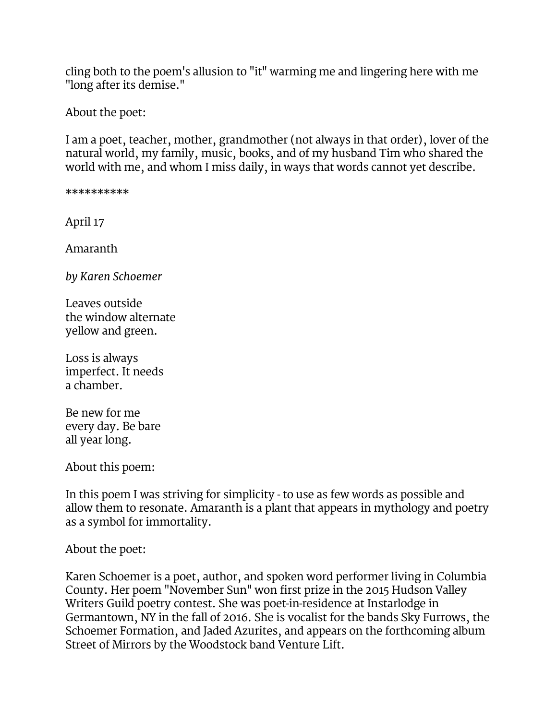cling both to the poem's allusion to "it" warming me and lingering here with me "long after its demise."

About the poet:

I am a poet, teacher, mother, grandmother (not always in that order), lover of the natural world, my family, music, books, and of my husband Tim who shared the world with me, and whom I miss daily, in ways that words cannot yet describe.

\*\*\*\*\*\*\*\*\*\*

April 17

Amaranth

*by Karen Schoemer*

Leaves outside the window alternate yellow and green.

Loss is always imperfect. It needs a chamber.

Be new for me every day. Be bare all year long.

About this poem:

In this poem I was striving for simplicity - to use as few words as possible and allow them to resonate. Amaranth is a plant that appears in mythology and poetry as a symbol for immortality.

#### About the poet:

Karen Schoemer is a poet, author, and spoken word performer living in Columbia County. Her poem "November Sun" won first prize in the 2015 Hudson Valley Writers Guild poetry contest. She was poet-in-residence at Instarlodge in Germantown, NY in the fall of 2016. She is vocalist for the bands Sky Furrows, the Schoemer Formation, and Jaded Azurites, and appears on the forthcoming album Street of Mirrors by the Woodstock band Venture Lift.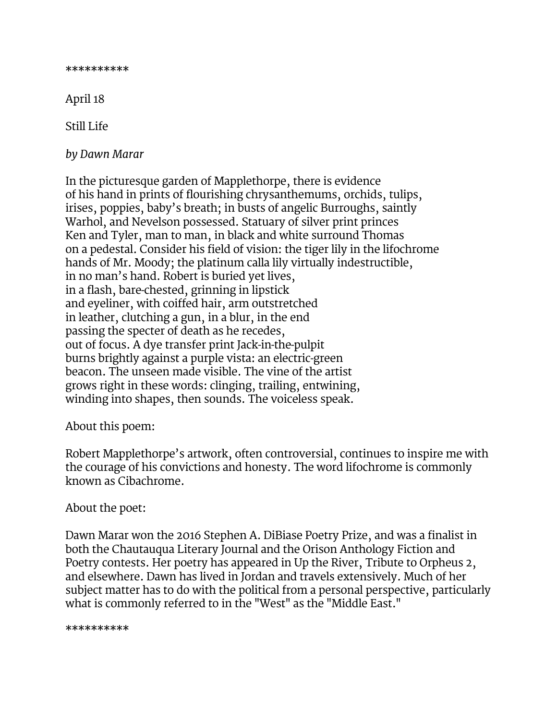\*\*\*\*\*\*\*\*\*\*

April 18

Still Life

*by Dawn Marar*

In the picturesque garden of Mapplethorpe, there is evidence of his hand in prints of flourishing chrysanthemums, orchids, tulips, irises, poppies, baby's breath; in busts of angelic Burroughs, saintly Warhol, and Nevelson possessed. Statuary of silver print princes Ken and Tyler, man to man, in black and white surround Thomas on a pedestal. Consider his field of vision: the tiger lily in the lifochrome hands of Mr. Moody; the platinum calla lily virtually indestructible, in no man's hand. Robert is buried yet lives, in a flash, bare-chested, grinning in lipstick and eyeliner, with coiffed hair, arm outstretched in leather, clutching a gun, in a blur, in the end passing the specter of death as he recedes, out of focus. A dye transfer print Jack-in-the-pulpit burns brightly against a purple vista: an electric-green beacon. The unseen made visible. The vine of the artist grows right in these words: clinging, trailing, entwining, winding into shapes, then sounds. The voiceless speak.

#### About this poem:

Robert Mapplethorpe's artwork, often controversial, continues to inspire me with the courage of his convictions and honesty. The word lifochrome is commonly known as Cibachrome.

#### About the poet:

Dawn Marar won the 2016 Stephen A. DiBiase Poetry Prize, and was a finalist in both the Chautauqua Literary Journal and the Orison Anthology Fiction and Poetry contests. Her poetry has appeared in Up the River, Tribute to Orpheus 2, and elsewhere. Dawn has lived in Jordan and travels extensively. Much of her subject matter has to do with the political from a personal perspective, particularly what is commonly referred to in the "West" as the "Middle East."

\*\*\*\*\*\*\*\*\*\*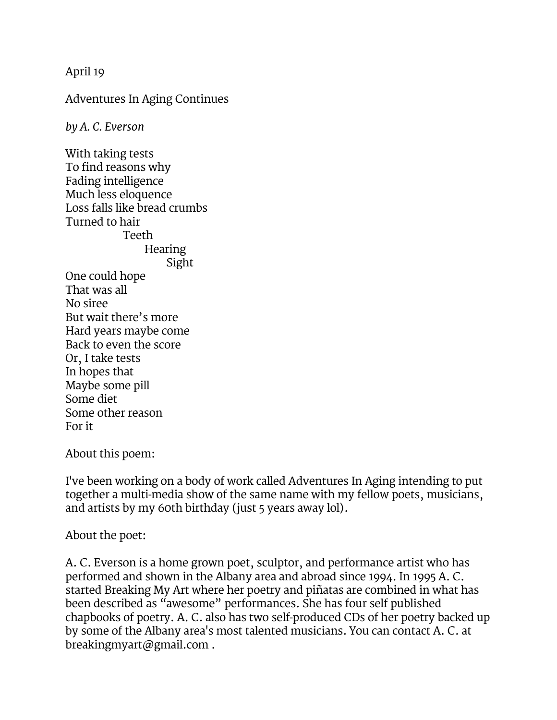April 19

Adventures In Aging Continues

*by A. C. Everson*

With taking tests To find reasons why Fading intelligence Much less eloquence Loss falls like bread crumbs Turned to hair Teeth **Hearing** Sight One could hope That was all No siree But wait there's more Hard years maybe come Back to even the score Or, I take tests In hopes that Maybe some pill Some diet Some other reason For it

About this poem:

I've been working on a body of work called Adventures In Aging intending to put together a multi-media show of the same name with my fellow poets, musicians, and artists by my 60th birthday (just 5 years away lol).

About the poet:

A. C. Everson is a home grown poet, sculptor, and performance artist who has performed and shown in the Albany area and abroad since 1994. In 1995 A. C. started Breaking My Art where her poetry and piñatas are combined in what has been described as "awesome" performances. She has four self published chapbooks of poetry. A. C. also has two self-produced CDs of her poetry backed up by some of the Albany area's most talented musicians. You can contact A. C. at breakingmyart@gmail.com .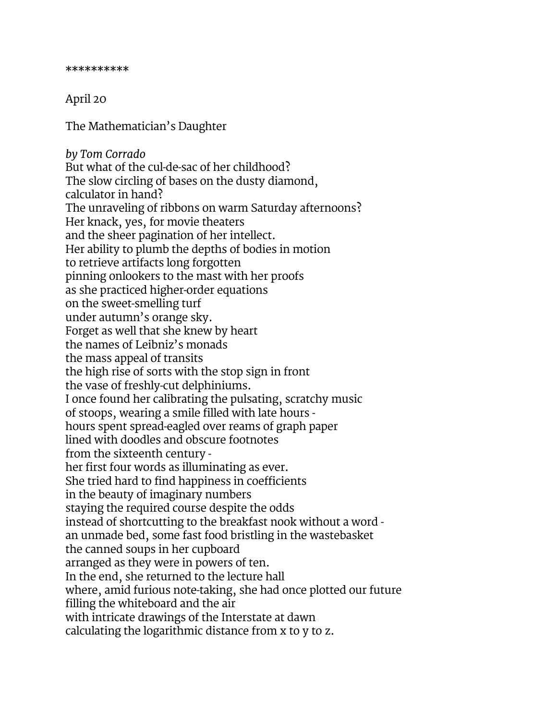#### April 20

The Mathematician's Daughter

*by Tom Corrado* But what of the cul-de-sac of her childhood? The slow circling of bases on the dusty diamond, calculator in hand? The unraveling of ribbons on warm Saturday afternoons? Her knack, yes, for movie theaters and the sheer pagination of her intellect. Her ability to plumb the depths of bodies in motion to retrieve artifacts long forgotten pinning onlookers to the mast with her proofs as she practiced higher-order equations on the sweet-smelling turf under autumn's orange sky. Forget as well that she knew by heart the names of Leibniz's monads the mass appeal of transits the high rise of sorts with the stop sign in front the vase of freshly-cut delphiniums. I once found her calibrating the pulsating, scratchy music of stoops, wearing a smile filled with late hours hours spent spread-eagled over reams of graph paper lined with doodles and obscure footnotes from the sixteenth century her first four words as illuminating as ever. She tried hard to find happiness in coefficients in the beauty of imaginary numbers staying the required course despite the odds instead of shortcutting to the breakfast nook without a word an unmade bed, some fast food bristling in the wastebasket the canned soups in her cupboard arranged as they were in powers of ten. In the end, she returned to the lecture hall where, amid furious note-taking, she had once plotted our future filling the whiteboard and the air with intricate drawings of the Interstate at dawn calculating the logarithmic distance from x to y to z.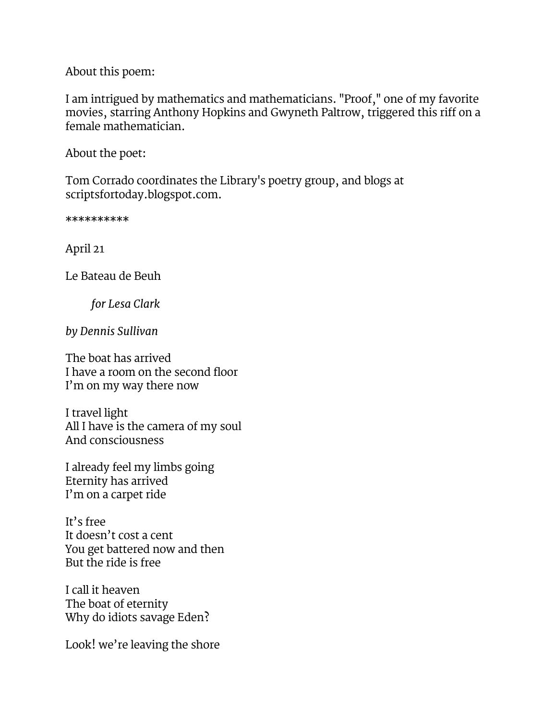About this poem:

I am intrigued by mathematics and mathematicians. "Proof," one of my favorite movies, starring Anthony Hopkins and Gwyneth Paltrow, triggered this riff on a female mathematician.

About the poet:

Tom Corrado coordinates the Library's poetry group, and blogs at scriptsfortoday.blogspot.com.

\*\*\*\*\*\*\*\*\*\*

April 21

Le Bateau de Beuh

*for Lesa Clark*

*by Dennis Sullivan*

The boat has arrived I have a room on the second floor I'm on my way there now

I travel light All I have is the camera of my soul And consciousness

I already feel my limbs going Eternity has arrived I'm on a carpet ride

It's free It doesn't cost a cent You get battered now and then But the ride is free

I call it heaven The boat of eternity Why do idiots savage Eden?

Look! we're leaving the shore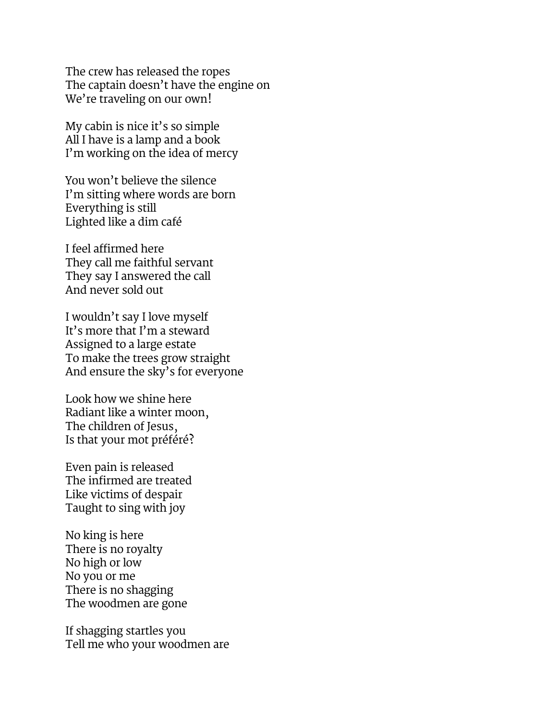The crew has released the ropes The captain doesn't have the engine on We're traveling on our own!

My cabin is nice it's so simple All I have is a lamp and a book I'm working on the idea of mercy

You won't believe the silence I'm sitting where words are born Everything is still Lighted like a dim café

I feel affirmed here They call me faithful servant They say I answered the call And never sold out

I wouldn't say I love myself It's more that I'm a steward Assigned to a large estate To make the trees grow straight And ensure the sky's for everyone

Look how we shine here Radiant like a winter moon, The children of Jesus, Is that your mot préféré?

Even pain is released The infirmed are treated Like victims of despair Taught to sing with joy

No king is here There is no royalty No high or low No you or me There is no shagging The woodmen are gone

If shagging startles you Tell me who your woodmen are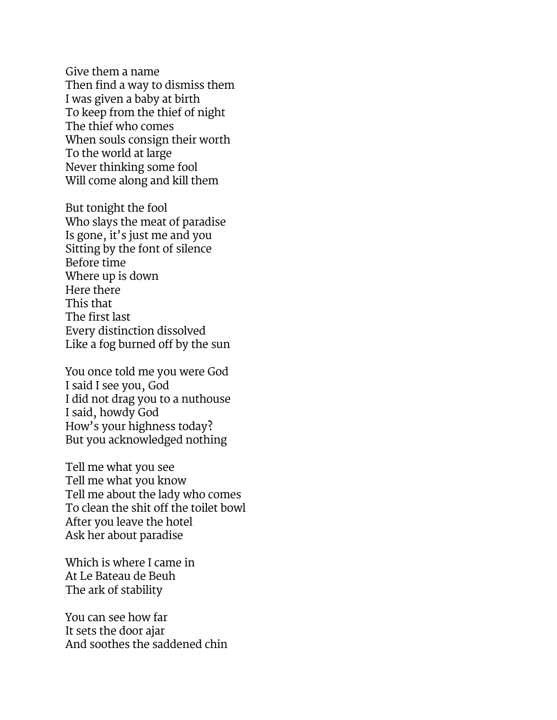Give them a name Then find a way to dismiss them I was given a baby at birth To keep from the thief of night The thief who comes When souls consign their worth To the world at large Never thinking some fool Will come along and kill them

But tonight the fool Who slays the meat of paradise Is gone, it's just me and you Sitting by the font of silence Before time Where up is down Here there This that The first last Every distinction dissolved Like a fog burned off by the sun

You once told me you were God I said I see you, God I did not drag you to a nuthouse I said, howdy God How's your highness today? But you acknowledged nothing

Tell me what you see Tell me what you know Tell me about the lady who comes To clean the shit off the toilet bowl After you leave the hotel Ask her about paradise

Which is where I came in At Le Bateau de Beuh The ark of stability

You can see how far It sets the door ajar And soothes the saddened chin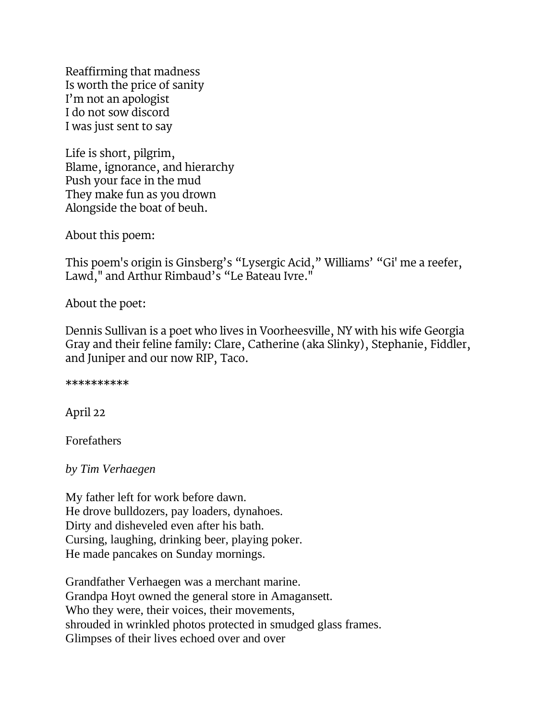Reaffirming that madness Is worth the price of sanity I'm not an apologist I do not sow discord I was just sent to say

Life is short, pilgrim, Blame, ignorance, and hierarchy Push your face in the mud They make fun as you drown Alongside the boat of beuh.

About this poem:

This poem's origin is Ginsberg's "Lysergic Acid," Williams' "Gi' me a reefer, Lawd," and Arthur Rimbaud's "Le Bateau Ivre."

About the poet:

Dennis Sullivan is a poet who lives in Voorheesville, NY with his wife Georgia Gray and their feline family: Clare, Catherine (aka Slinky), Stephanie, Fiddler, and Juniper and our now RIP, Taco.

\*\*\*\*\*\*\*\*\*\*

April 22

Forefathers

*by Tim Verhaegen*

My father left for work before dawn. He drove bulldozers, pay loaders, dynahoes. Dirty and disheveled even after his bath. Cursing, laughing, drinking beer, playing poker. He made pancakes on Sunday mornings.

Grandfather Verhaegen was a merchant marine. Grandpa Hoyt owned the general store in Amagansett. Who they were, their voices, their movements, shrouded in wrinkled photos protected in smudged glass frames. Glimpses of their lives echoed over and over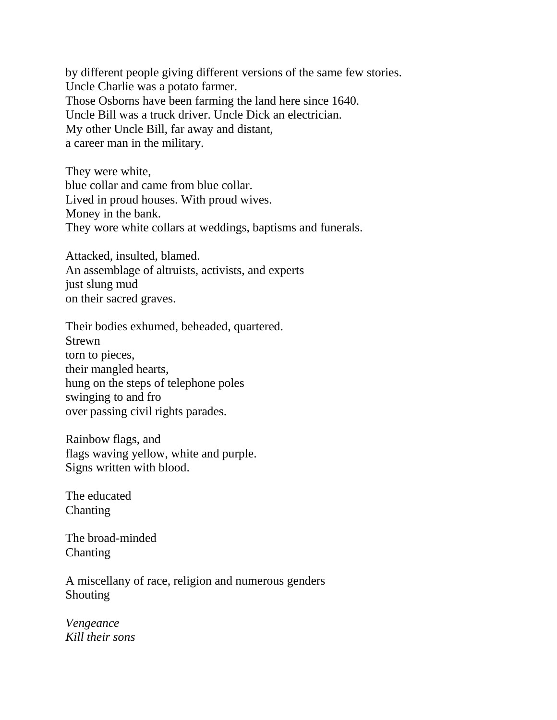by different people giving different versions of the same few stories. Uncle Charlie was a potato farmer. Those Osborns have been farming the land here since 1640. Uncle Bill was a truck driver. Uncle Dick an electrician. My other Uncle Bill, far away and distant, a career man in the military.

They were white, blue collar and came from blue collar. Lived in proud houses. With proud wives. Money in the bank. They wore white collars at weddings, baptisms and funerals.

Attacked, insulted, blamed. An assemblage of altruists, activists, and experts just slung mud on their sacred graves.

Their bodies exhumed, beheaded, quartered. Strewn torn to pieces, their mangled hearts, hung on the steps of telephone poles swinging to and fro over passing civil rights parades.

Rainbow flags, and flags waving yellow, white and purple. Signs written with blood.

The educated Chanting

The broad-minded Chanting

A miscellany of race, religion and numerous genders Shouting

*Vengeance Kill their sons*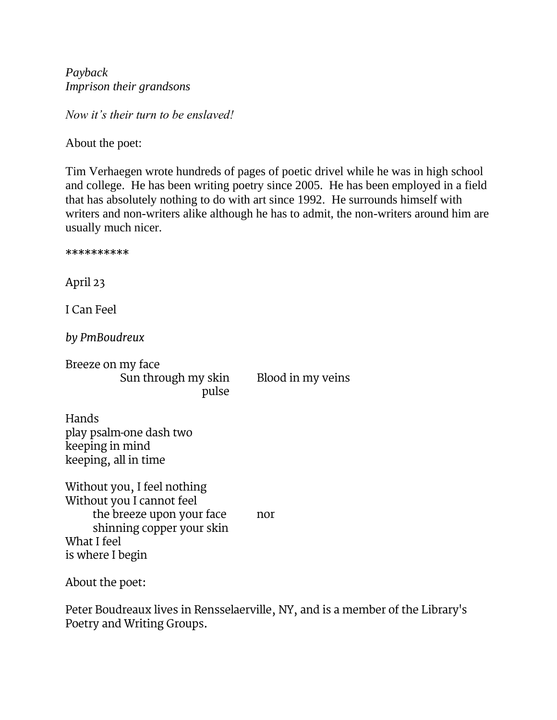*Payback Imprison their grandsons*

*Now it's their turn to be enslaved!*

About the poet:

Tim Verhaegen wrote hundreds of pages of poetic drivel while he was in high school and college. He has been writing poetry since 2005. He has been employed in a field that has absolutely nothing to do with art since 1992. He surrounds himself with writers and non-writers alike although he has to admit, the non-writers around him are usually much nicer.

\*\*\*\*\*\*\*\*\*\* April 23 I Can Feel *by PmBoudreux* Breeze on my face Sun through my skin Blood in my veins pulse Hands play psalm-one dash two keeping in mind keeping, all in time Without you, I feel nothing Without you I cannot feel the breeze upon your face nor shinning copper your skin What I feel is where I begin About the poet:

Peter Boudreaux lives in Rensselaerville, NY, and is a member of the Library's Poetry and Writing Groups.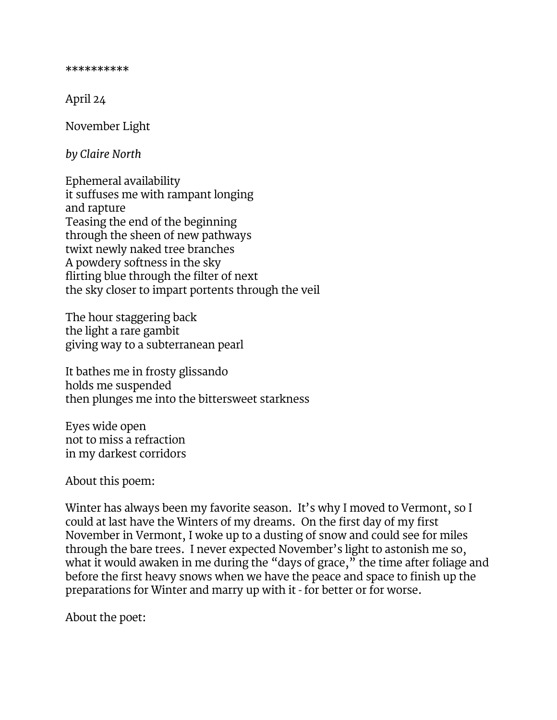\*\*\*\*\*\*\*\*\*\*

April 24

November Light

*by Claire North*

Ephemeral availability it suffuses me with rampant longing and rapture Teasing the end of the beginning through the sheen of new pathways twixt newly naked tree branches A powdery softness in the sky flirting blue through the filter of next the sky closer to impart portents through the veil

The hour staggering back the light a rare gambit giving way to a subterranean pearl

It bathes me in frosty glissando holds me suspended then plunges me into the bittersweet starkness

Eyes wide open not to miss a refraction in my darkest corridors

About this poem:

Winter has always been my favorite season. It's why I moved to Vermont, so I could at last have the Winters of my dreams. On the first day of my first November in Vermont, I woke up to a dusting of snow and could see for miles through the bare trees. I never expected November's light to astonish me so, what it would awaken in me during the "days of grace," the time after foliage and before the first heavy snows when we have the peace and space to finish up the preparations for Winter and marry up with it - for better or for worse.

About the poet: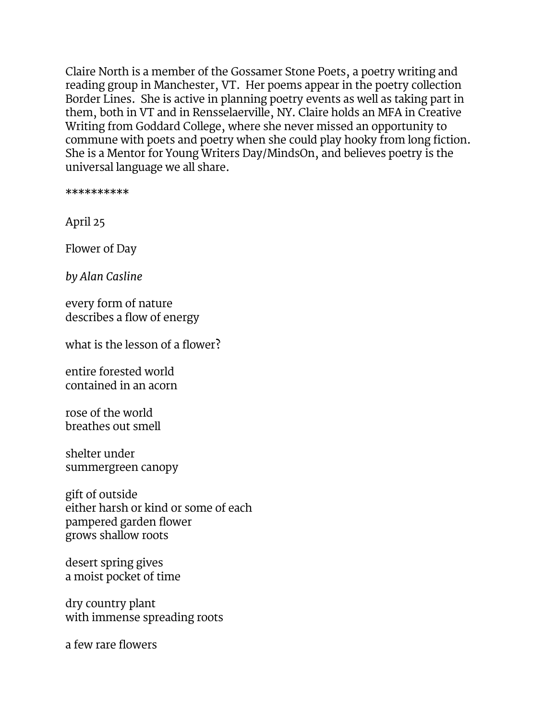Claire North is a member of the Gossamer Stone Poets, a poetry writing and reading group in Manchester, VT. Her poems appear in the poetry collection Border Lines. She is active in planning poetry events as well as taking part in them, both in VT and in Rensselaerville, NY. Claire holds an MFA in Creative Writing from Goddard College, where she never missed an opportunity to commune with poets and poetry when she could play hooky from long fiction. She is a Mentor for Young Writers Day/MindsOn, and believes poetry is the universal language we all share.

\*\*\*\*\*\*\*\*\*\*

April 25

Flower of Day

*by Alan Casline*

every form of nature describes a flow of energy

what is the lesson of a flower?

entire forested world contained in an acorn

rose of the world breathes out smell

shelter under summergreen canopy

gift of outside either harsh or kind or some of each pampered garden flower grows shallow roots

desert spring gives a moist pocket of time

dry country plant with immense spreading roots

a few rare flowers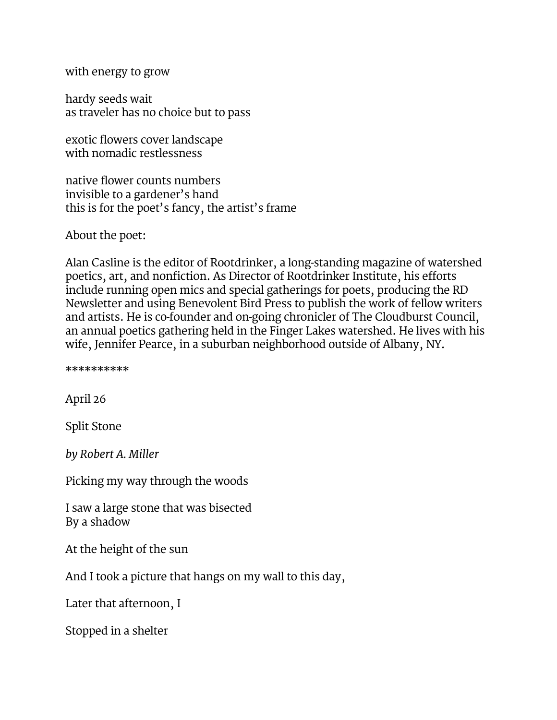with energy to grow

hardy seeds wait as traveler has no choice but to pass

exotic flowers cover landscape with nomadic restlessness

native flower counts numbers invisible to a gardener's hand this is for the poet's fancy, the artist's frame

About the poet:

Alan Casline is the editor of Rootdrinker, a long-standing magazine of watershed poetics, art, and nonfiction. As Director of Rootdrinker Institute, his efforts include running open mics and special gatherings for poets, producing the RD Newsletter and using Benevolent Bird Press to publish the work of fellow writers and artists. He is co-founder and on-going chronicler of The Cloudburst Council, an annual poetics gathering held in the Finger Lakes watershed. He lives with his wife, Jennifer Pearce, in a suburban neighborhood outside of Albany, NY.

\*\*\*\*\*\*\*\*\*\*

April 26

Split Stone

*by Robert A. Miller*

Picking my way through the woods

I saw a large stone that was bisected By a shadow

At the height of the sun

And I took a picture that hangs on my wall to this day,

Later that afternoon, I

Stopped in a shelter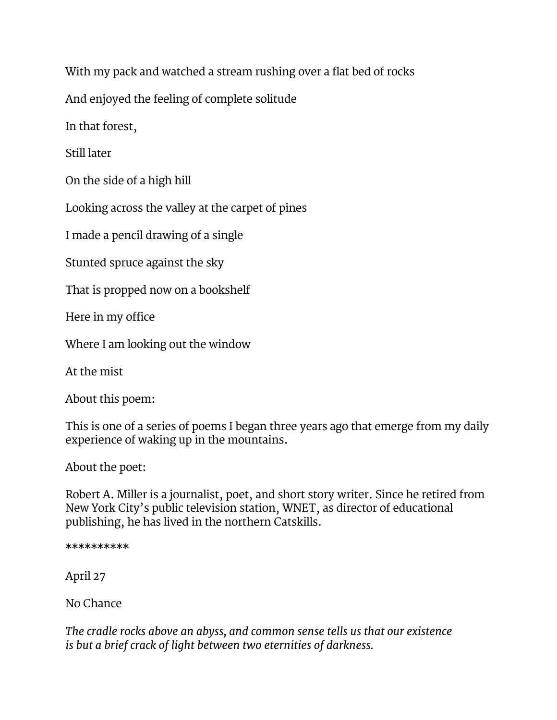With my pack and watched a stream rushing over a flat bed of rocks

And enjoyed the feeling of complete solitude

In that forest,

Still later

On the side of a high hill

Looking across the valley at the carpet of pines

I made a pencil drawing of a single

Stunted spruce against the sky

That is propped now on a bookshelf

Here in my office

Where I am looking out the window

At the mist

About this poem:

This is one of a series of poems I began three years ago that emerge from my daily experience of waking up in the mountains.

About the poet:

Robert A. Miller is a journalist, poet, and short story writer. Since he retired from New York City's public television station, WNET, as director of educational publishing, he has lived in the northern Catskills.

\*\*\*\*\*\*\*\*\*\*

April 27

No Chance

*The cradle rocks above an abyss, and common sense tells us that our existence is but a brief crack of light between two eternities of darkness.*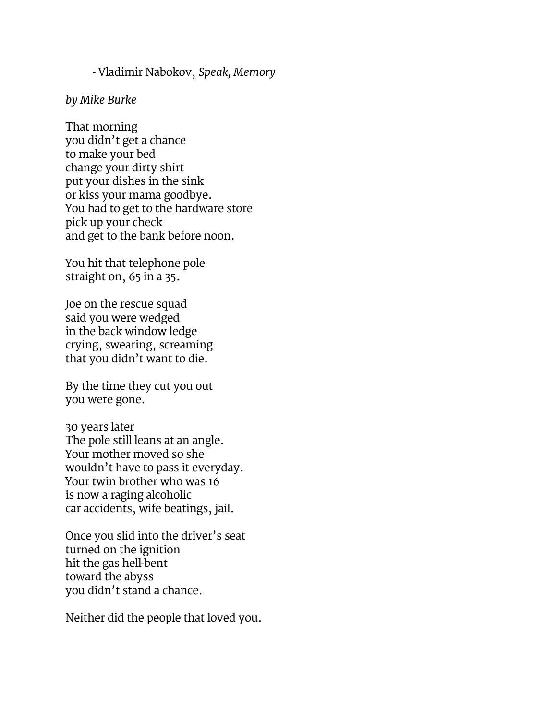#### - Vladimir Nabokov, *Speak, Memory*

#### *by Mike Burke*

That morning you didn't get a chance to make your bed change your dirty shirt put your dishes in the sink or kiss your mama goodbye. You had to get to the hardware store pick up your check and get to the bank before noon.

You hit that telephone pole straight on, 65 in a 35.

Joe on the rescue squad said you were wedged in the back window ledge crying, swearing, screaming that you didn't want to die.

By the time they cut you out you were gone.

30 years later The pole still leans at an angle. Your mother moved so she wouldn't have to pass it everyday. Your twin brother who was 16 is now a raging alcoholic car accidents, wife beatings, jail.

Once you slid into the driver's seat turned on the ignition hit the gas hell-bent toward the abyss you didn't stand a chance.

Neither did the people that loved you.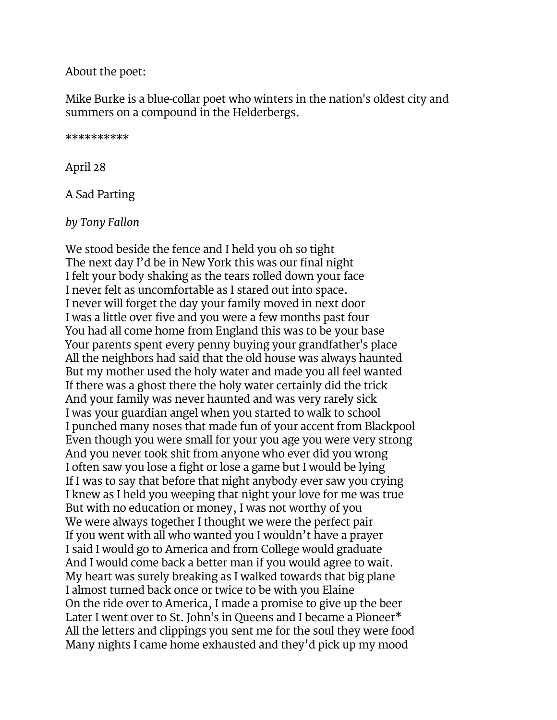#### About the poet:

Mike Burke is a blue-collar poet who winters in the nation's oldest city and summers on a compound in the Helderbergs.

\*\*\*\*\*\*\*\*\*\*

April 28

A Sad Parting

*by Tony Fallon*

We stood beside the fence and I held you oh so tight The next day I'd be in New York this was our final night I felt your body shaking as the tears rolled down your face I never felt as uncomfortable as I stared out into space. I never will forget the day your family moved in next door I was a little over five and you were a few months past four You had all come home from England this was to be your base Your parents spent every penny buying your grandfather's place All the neighbors had said that the old house was always haunted But my mother used the holy water and made you all feel wanted If there was a ghost there the holy water certainly did the trick And your family was never haunted and was very rarely sick I was your guardian angel when you started to walk to school I punched many noses that made fun of your accent from Blackpool Even though you were small for your you age you were very strong And you never took shit from anyone who ever did you wrong I often saw you lose a fight or lose a game but I would be lying If I was to say that before that night anybody ever saw you crying I knew as I held you weeping that night your love for me was true But with no education or money, I was not worthy of you We were always together I thought we were the perfect pair If you went with all who wanted you I wouldn't have a prayer I said I would go to America and from College would graduate And I would come back a better man if you would agree to wait. My heart was surely breaking as I walked towards that big plane I almost turned back once or twice to be with you Elaine On the ride over to America, I made a promise to give up the beer Later I went over to St. John's in Queens and I became a Pioneer\* All the letters and clippings you sent me for the soul they were food Many nights I came home exhausted and they'd pick up my mood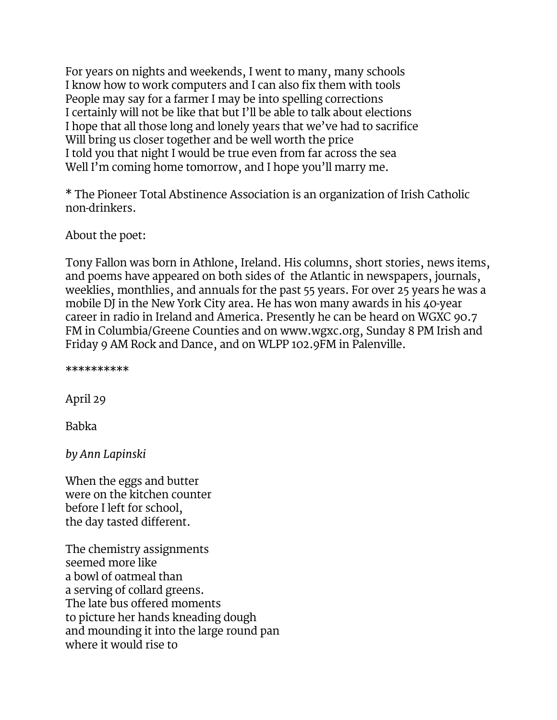For years on nights and weekends, I went to many, many schools I know how to work computers and I can also fix them with tools People may say for a farmer I may be into spelling corrections I certainly will not be like that but I'll be able to talk about elections I hope that all those long and lonely years that we've had to sacrifice Will bring us closer together and be well worth the price I told you that night I would be true even from far across the sea Well I'm coming home tomorrow, and I hope you'll marry me.

\* The Pioneer Total Abstinence Association is an organization of Irish Catholic non-drinkers.

About the poet:

Tony Fallon was born in Athlone, Ireland. His columns, short stories, news items, and poems have appeared on both sides of the Atlantic in newspapers, journals, weeklies, monthlies, and annuals for the past 55 years. For over 25 years he was a mobile DJ in the New York City area. He has won many awards in his 40-year career in radio in Ireland and America. Presently he can be heard on WGXC 90.7 FM in Columbia/Greene Counties and on www.wgxc.org, Sunday 8 PM Irish and Friday 9 AM Rock and Dance, and on WLPP 102.9FM in Palenville.

\*\*\*\*\*\*\*\*\*\*

April 29

Babka

*by Ann Lapinski*

When the eggs and butter were on the kitchen counter before I left for school, the day tasted different.

The chemistry assignments seemed more like a bowl of oatmeal than a serving of collard greens. The late bus offered moments to picture her hands kneading dough and mounding it into the large round pan where it would rise to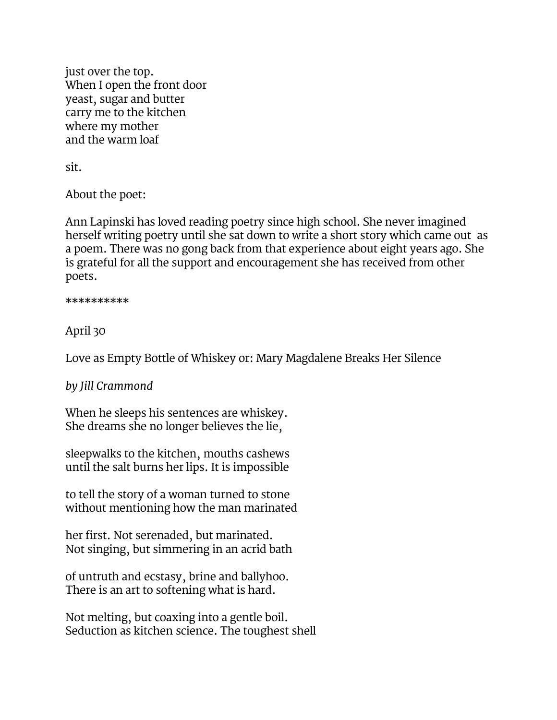just over the top. When I open the front door yeast, sugar and butter carry me to the kitchen where my mother and the warm loaf

sit.

About the poet:

Ann Lapinski has loved reading poetry since high school. She never imagined herself writing poetry until she sat down to write a short story which came out as a poem. There was no gong back from that experience about eight years ago. She is grateful for all the support and encouragement she has received from other poets.

\*\*\*\*\*\*\*\*\*\*

April 30

Love as Empty Bottle of Whiskey or: Mary Magdalene Breaks Her Silence

*by Jill Crammond*

When he sleeps his sentences are whiskey. She dreams she no longer believes the lie,

sleepwalks to the kitchen, mouths cashews until the salt burns her lips. It is impossible

to tell the story of a woman turned to stone without mentioning how the man marinated

her first. Not serenaded, but marinated. Not singing, but simmering in an acrid bath

of untruth and ecstasy, brine and ballyhoo. There is an art to softening what is hard.

Not melting, but coaxing into a gentle boil. Seduction as kitchen science. The toughest shell